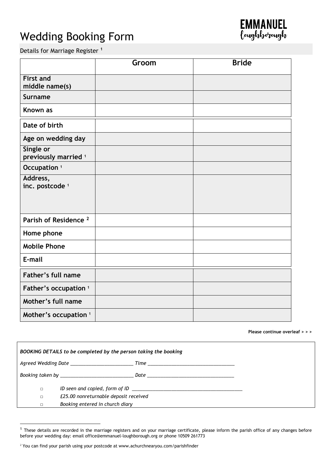# Wedding Booking Form



Details for Marriage Register **<sup>1</sup>**

|                                              | Groom | <b>Bride</b> |
|----------------------------------------------|-------|--------------|
| <b>First and</b><br>middle name(s)           |       |              |
| <b>Surname</b>                               |       |              |
| Known as                                     |       |              |
| Date of birth                                |       |              |
| Age on wedding day                           |       |              |
| Single or<br>previously married <sup>1</sup> |       |              |
| Occupation <sup>1</sup>                      |       |              |
| Address,<br>inc. postcode <sup>1</sup>       |       |              |
| Parish of Residence <sup>2</sup>             |       |              |
| Home phone                                   |       |              |
| <b>Mobile Phone</b>                          |       |              |
| E-mail                                       |       |              |
| Father's full name                           |       |              |
| Father's occupation <sup>1</sup>             |       |              |
| Mother's full name                           |       |              |
| Mother's occupation <sup>1</sup>             |       |              |

**Please continue overleaf > > >**

| BOOKING DETAILS to be completed by the person taking the booking |                                                                                                                                                                                                                                |  |  |  |
|------------------------------------------------------------------|--------------------------------------------------------------------------------------------------------------------------------------------------------------------------------------------------------------------------------|--|--|--|
|                                                                  |                                                                                                                                                                                                                                |  |  |  |
|                                                                  | Booking taken by the contract of the contract of the part of the contract of the contract of the contract of the contract of the contract of the contract of the contract of the contract of the contract of the contract of t |  |  |  |
| $\Box$                                                           |                                                                                                                                                                                                                                |  |  |  |
| $\Box$                                                           | £25.00 nonreturnable deposit received                                                                                                                                                                                          |  |  |  |
|                                                                  | Booking entered in church diary                                                                                                                                                                                                |  |  |  |

<u>.</u>

 $1$  These details are recorded in the marriage registers and on your marriage certificate, please inform the parish office of any changes before before your wedding day: email office@emmanuel-loughborough.org or phone 10509 261773

<sup>&</sup>lt;sup>2</sup> You can find your parish using your postcode at www.achurchnearyou.com/parishfinder